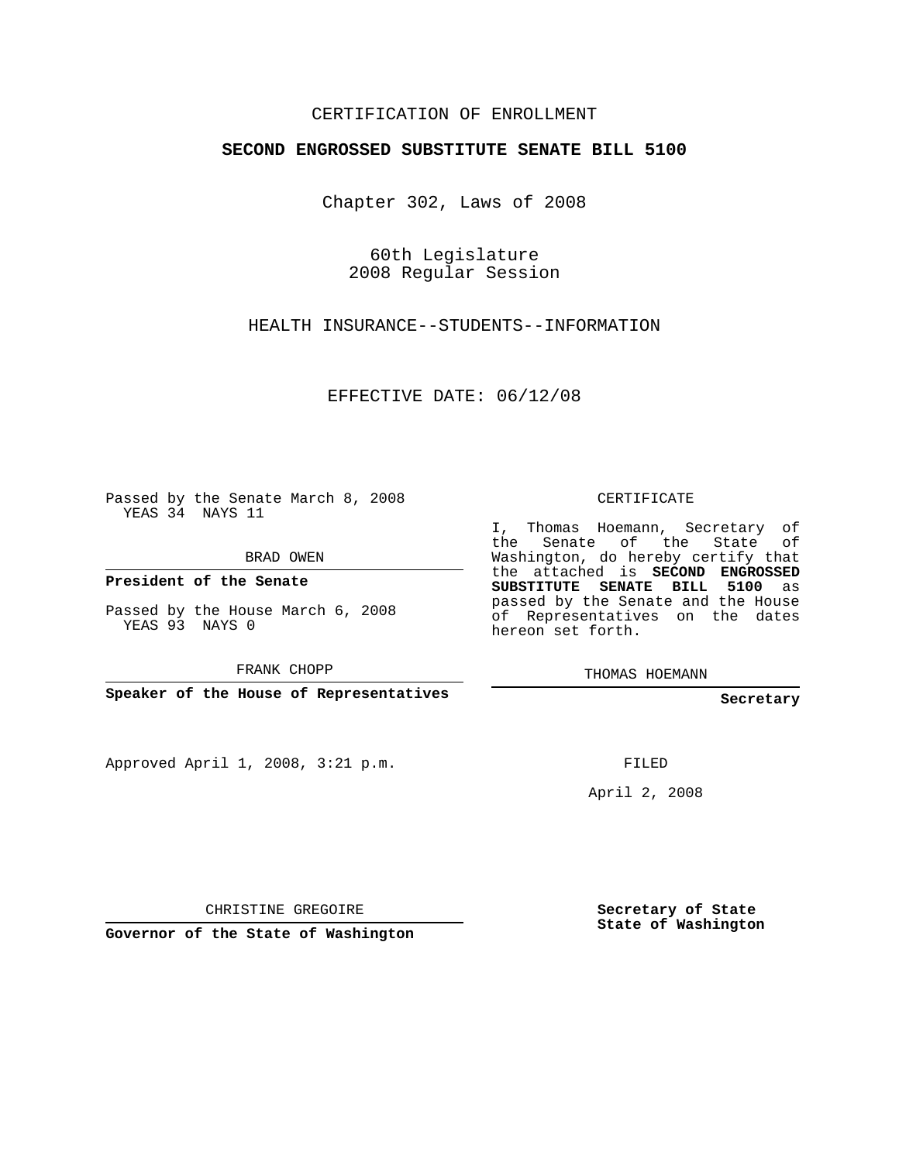## CERTIFICATION OF ENROLLMENT

## **SECOND ENGROSSED SUBSTITUTE SENATE BILL 5100**

Chapter 302, Laws of 2008

60th Legislature 2008 Regular Session

HEALTH INSURANCE--STUDENTS--INFORMATION

EFFECTIVE DATE: 06/12/08

Passed by the Senate March 8, 2008 YEAS 34 NAYS 11

BRAD OWEN

**President of the Senate**

Passed by the House March 6, 2008 YEAS 93 NAYS 0

FRANK CHOPP

**Speaker of the House of Representatives**

Approved April 1, 2008, 3:21 p.m.

CERTIFICATE

I, Thomas Hoemann, Secretary of the Senate of the State of Washington, do hereby certify that the attached is **SECOND ENGROSSED SUBSTITUTE SENATE BILL 5100** as passed by the Senate and the House of Representatives on the dates hereon set forth.

THOMAS HOEMANN

**Secretary**

FILED

April 2, 2008

CHRISTINE GREGOIRE

**Governor of the State of Washington**

**Secretary of State State of Washington**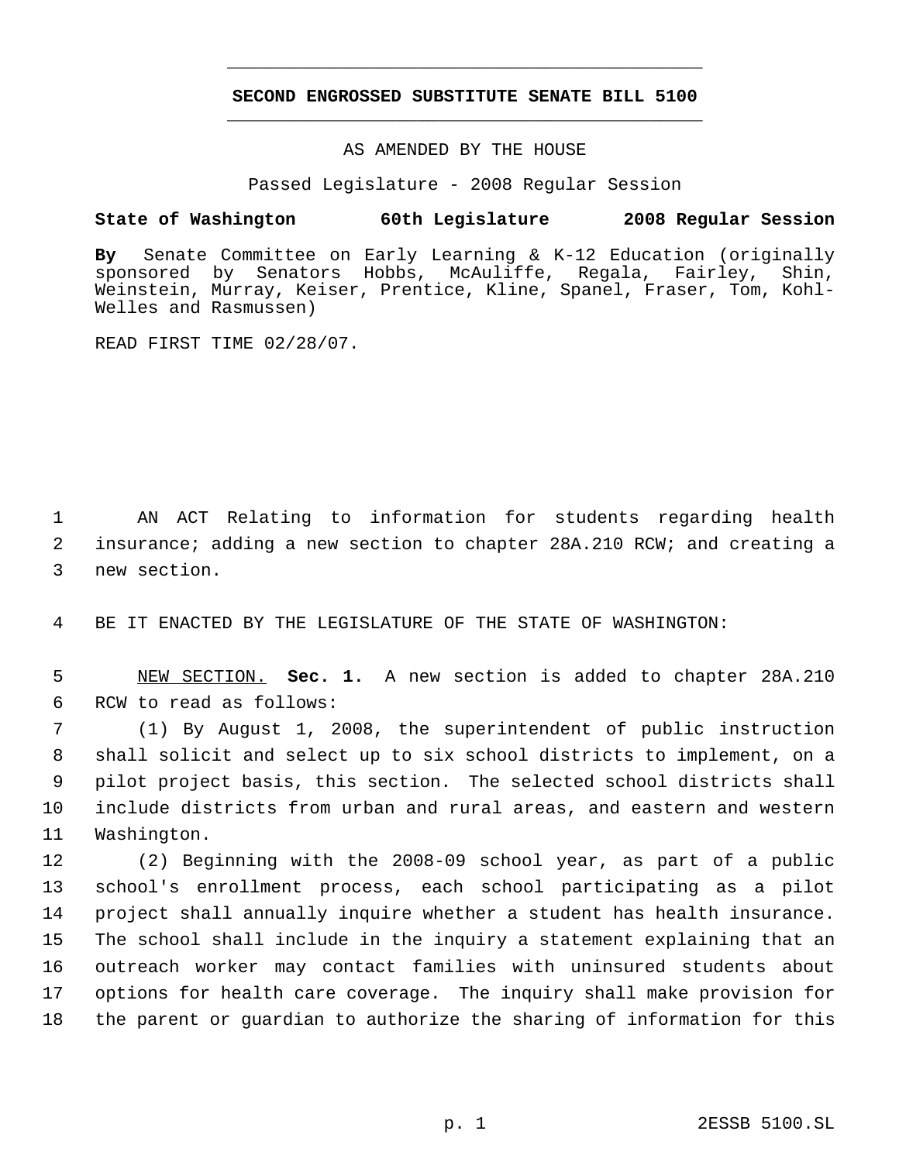## **SECOND ENGROSSED SUBSTITUTE SENATE BILL 5100** \_\_\_\_\_\_\_\_\_\_\_\_\_\_\_\_\_\_\_\_\_\_\_\_\_\_\_\_\_\_\_\_\_\_\_\_\_\_\_\_\_\_\_\_\_

\_\_\_\_\_\_\_\_\_\_\_\_\_\_\_\_\_\_\_\_\_\_\_\_\_\_\_\_\_\_\_\_\_\_\_\_\_\_\_\_\_\_\_\_\_

AS AMENDED BY THE HOUSE

Passed Legislature - 2008 Regular Session

## **State of Washington 60th Legislature 2008 Regular Session**

**By** Senate Committee on Early Learning & K-12 Education (originally sponsored by Senators Hobbs, McAuliffe, Regala, Fairley, Shin, Weinstein, Murray, Keiser, Prentice, Kline, Spanel, Fraser, Tom, Kohl-Welles and Rasmussen)

READ FIRST TIME 02/28/07.

 1 AN ACT Relating to information for students regarding health 2 insurance; adding a new section to chapter 28A.210 RCW; and creating a 3 new section.

4 BE IT ENACTED BY THE LEGISLATURE OF THE STATE OF WASHINGTON:

 5 NEW SECTION. **Sec. 1.** A new section is added to chapter 28A.210 6 RCW to read as follows:

 (1) By August 1, 2008, the superintendent of public instruction shall solicit and select up to six school districts to implement, on a pilot project basis, this section. The selected school districts shall include districts from urban and rural areas, and eastern and western Washington.

 (2) Beginning with the 2008-09 school year, as part of a public school's enrollment process, each school participating as a pilot project shall annually inquire whether a student has health insurance. The school shall include in the inquiry a statement explaining that an outreach worker may contact families with uninsured students about options for health care coverage. The inquiry shall make provision for the parent or guardian to authorize the sharing of information for this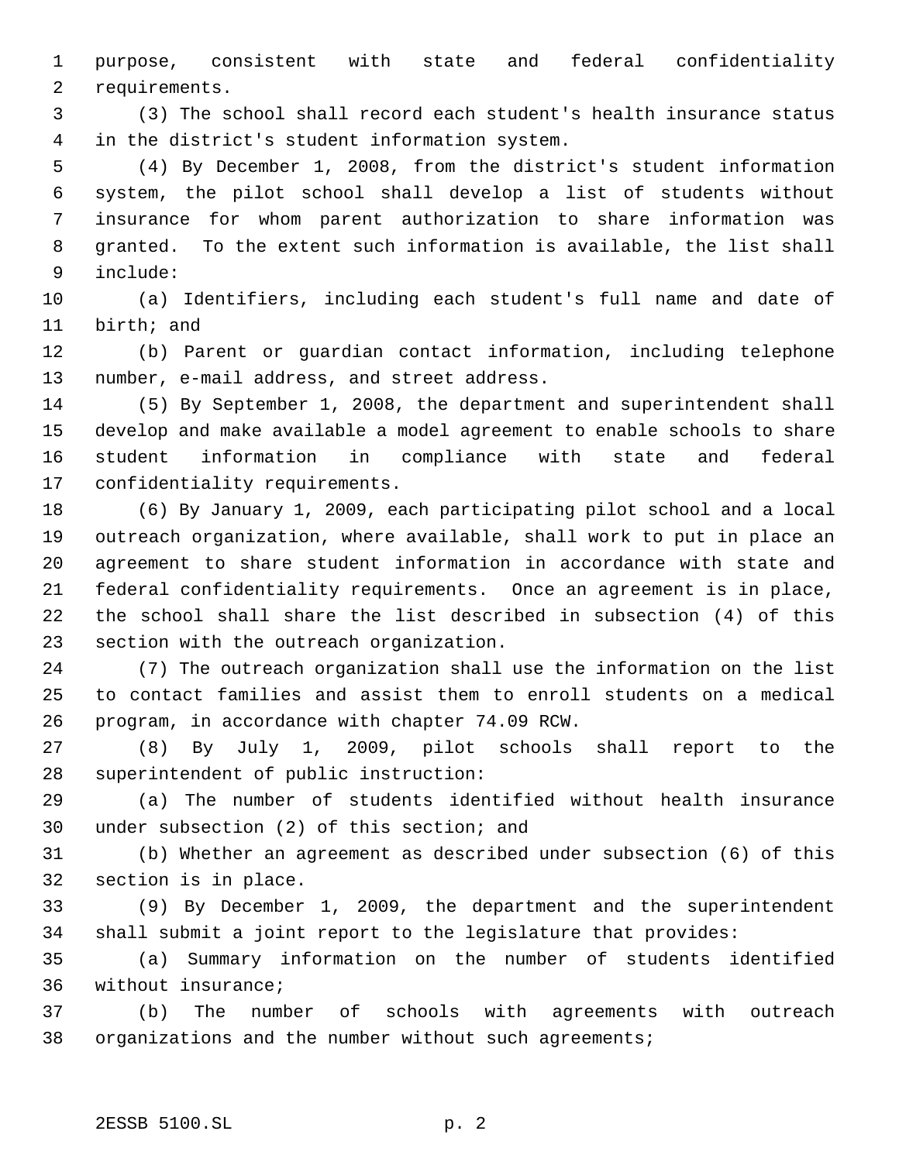purpose, consistent with state and federal confidentiality requirements.

 (3) The school shall record each student's health insurance status in the district's student information system.

 (4) By December 1, 2008, from the district's student information system, the pilot school shall develop a list of students without insurance for whom parent authorization to share information was granted. To the extent such information is available, the list shall include:

 (a) Identifiers, including each student's full name and date of birth; and

 (b) Parent or guardian contact information, including telephone number, e-mail address, and street address.

 (5) By September 1, 2008, the department and superintendent shall develop and make available a model agreement to enable schools to share student information in compliance with state and federal confidentiality requirements.

 (6) By January 1, 2009, each participating pilot school and a local outreach organization, where available, shall work to put in place an agreement to share student information in accordance with state and federal confidentiality requirements. Once an agreement is in place, the school shall share the list described in subsection (4) of this section with the outreach organization.

 (7) The outreach organization shall use the information on the list to contact families and assist them to enroll students on a medical program, in accordance with chapter 74.09 RCW.

 (8) By July 1, 2009, pilot schools shall report to the superintendent of public instruction:

 (a) The number of students identified without health insurance under subsection (2) of this section; and

 (b) Whether an agreement as described under subsection (6) of this section is in place.

 (9) By December 1, 2009, the department and the superintendent shall submit a joint report to the legislature that provides:

 (a) Summary information on the number of students identified without insurance;

 (b) The number of schools with agreements with outreach organizations and the number without such agreements;